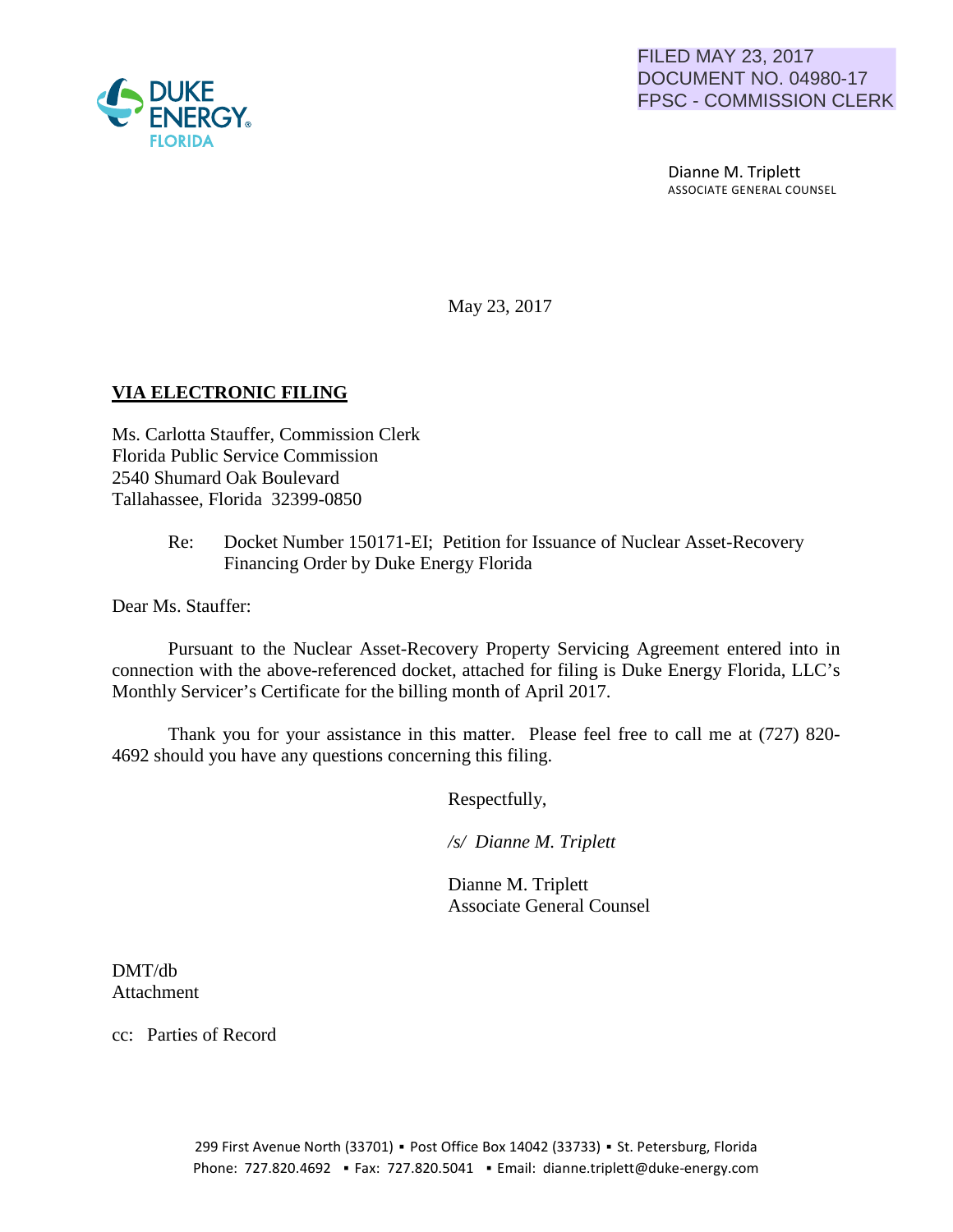

 Dianne M. Triplett ASSOCIATE GENERAL COUNSEL

May 23, 2017

### **VIA ELECTRONIC FILING**

Ms. Carlotta Stauffer, Commission Clerk Florida Public Service Commission 2540 Shumard Oak Boulevard Tallahassee, Florida 32399-0850

> Re: Docket Number 150171-EI; Petition for Issuance of Nuclear Asset-Recovery Financing Order by Duke Energy Florida

Dear Ms. Stauffer:

Pursuant to the Nuclear Asset-Recovery Property Servicing Agreement entered into in connection with the above-referenced docket, attached for filing is Duke Energy Florida, LLC's Monthly Servicer's Certificate for the billing month of April 2017.

Thank you for your assistance in this matter. Please feel free to call me at (727) 820- 4692 should you have any questions concerning this filing.

Respectfully,

 */s/ Dianne M. Triplett*

 Dianne M. Triplett Associate General Counsel

DMT/db Attachment

cc: Parties of Record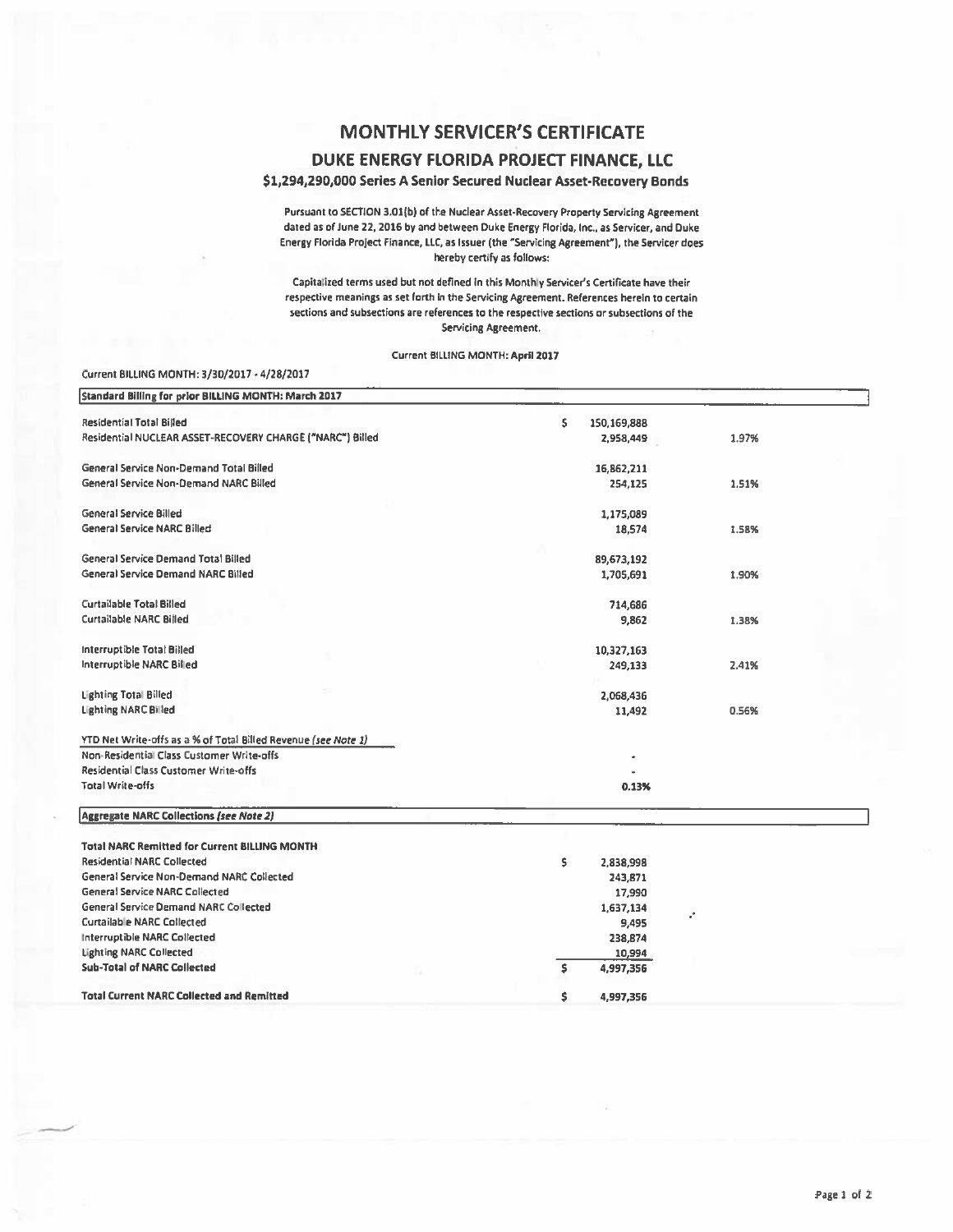# **MONTHLY SERVICER'S CERTIFICATE**

### DUKE ENERGY FLORIDA PROJECT FINANCE. LLC

### \$1,294,290,000 Series A Senior Secured Nuclear Asset-Recovery Bonds

Pursuant to SECTION 3.01(b) of the Nuclear Asset-Recovery Property Servicing Agreement dated as of June 22, 2016 by and between Duke Energy Florida, Inc., as Servicer, and Duke Energy Florida Project Finance, LLC, as Issuer (the "Servicing Agreement"), the Servicer does hereby certify as follows:

Capitalized terms used but not defined in this Monthly Servicer's Certificate have their respective meanings as set forth in the Servicing Agreement. References herein to certain sections and subsections are references to the respective sections or subsections of the Servicing Agreement.

#### Current BILLING MONTH: April 2017

#### Current BILLING MONTH: 3/30/2017 - 4/28/2017

| Standard Billing for prior BILLING MONTH: March 2017           |                      |       |
|----------------------------------------------------------------|----------------------|-------|
| <b>Residential Total Billed</b>                                | \$<br>150,169,888    |       |
| Residential NUCLEAR ASSET-RECOVERY CHARGE ("NARC") Billed      | 2,958,449            | 1.97% |
| <b>General Service Non-Demand Total Billed</b>                 | 16,862,211           |       |
| <b>General Service Non-Demand NARC Billed</b>                  | 254,125              | 1.51% |
| <b>General Service Billed</b>                                  | 1,175,089            |       |
| <b>General Service NARC Billed</b>                             | 18,574               | 1.58% |
| <b>General Service Demand Total Billed</b>                     | 89,673,192           |       |
| General Service Demand NARC Billed                             | 1,705,691            | 1.90% |
| <b>Curtailable Total Billed</b>                                | 714,686              |       |
| <b>Curtailable NARC Billed</b>                                 | 9,862                | 1.38% |
| Interruptible Total Billed                                     | 10,327,163           |       |
| Interruptible NARC Billed                                      | 249,133              | 2.41% |
| <b>Lighting Total Billed</b>                                   | 2,068,436            |       |
| <b>Lighting NARC Billed</b>                                    | 11,492               | 0.56% |
| YTD Net Write-offs as a % of Total Billed Revenue (see Note 1) |                      |       |
| Non-Residential Class Customer Write-offs                      |                      |       |
| Residential Class Customer Write-offs                          |                      |       |
| <b>Total Write-offs</b>                                        | 0.13%                |       |
| <b>Aggregate NARC Collections (see Note 2)</b>                 |                      |       |
| <b>Total NARC Remitted for Current BILLING MONTH</b>           |                      |       |
| <b>Residential NARC Collected</b>                              | \$.                  |       |
| General Service Non-Demand NARC Collected                      | 2,838,998<br>243,871 |       |
| <b>General Service NARC Collected</b>                          | 17,990               |       |
| <b>General Service Demand NARC Collected</b>                   |                      |       |
|                                                                | 1,637,134            | ÷     |
| <b>Curtailable NARC Collected</b>                              | 9,495                |       |
| Interruptible NARC Collected                                   | 238,874              |       |
| <b>Lighting NARC Collected</b>                                 | 10,994               |       |
| <b>Sub-Total of NARC Collected</b>                             | \$.<br>4,997,356     |       |
| <b>Total Current NARC Collected and Remitted</b>               | \$<br>4,997,356      |       |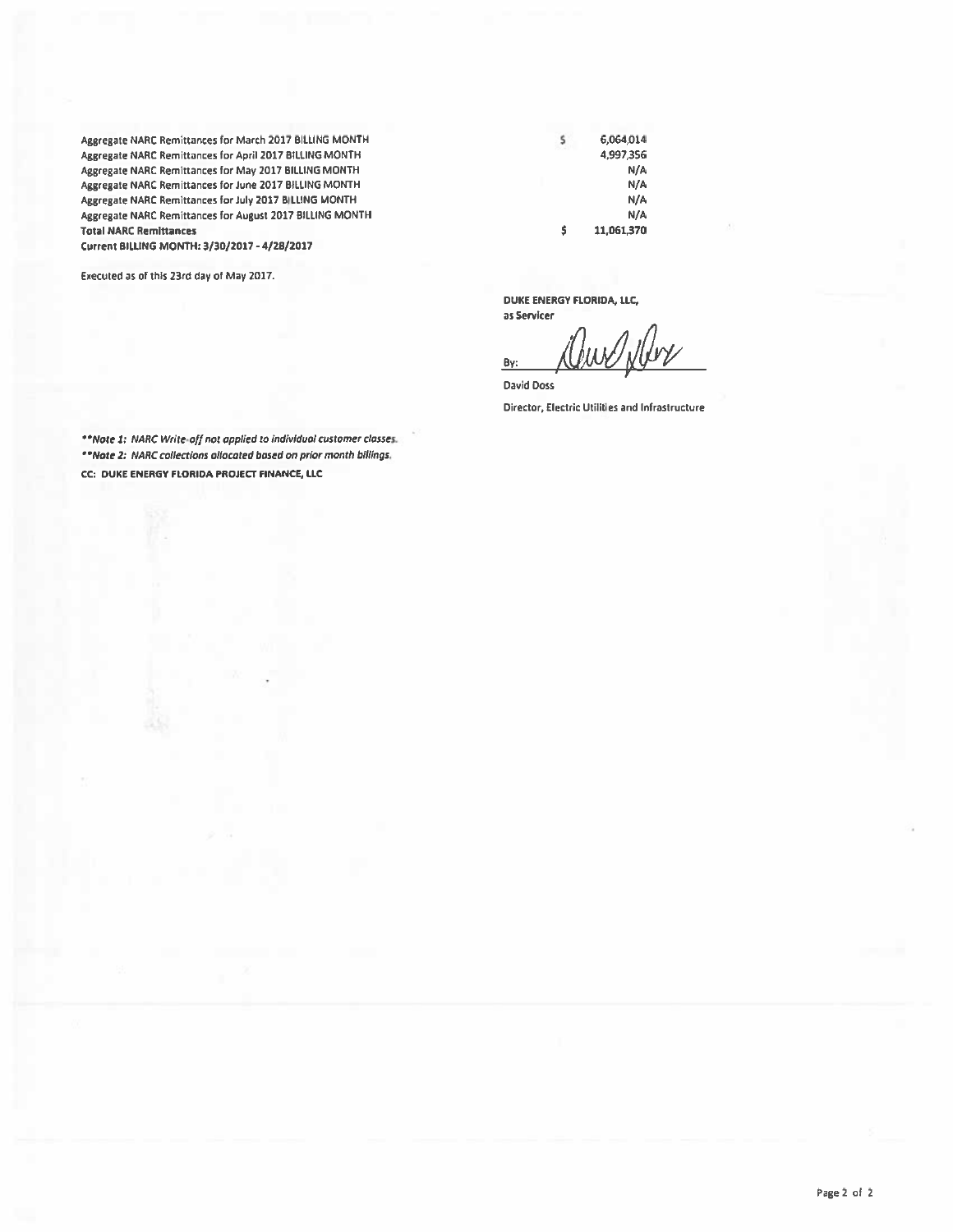Aggresate NARC Remittances for March 2017 BILLING MONTH Aggregate NARC Remittances for April 2017 BilliNG MONTH Aggregate NARC Remittances for May 2017 BilliNG MONTH Aggregate NARC Remittances for June 2017 BILliNG MONTH Aggregate NARC Remittances for July 2017 BILLING MONTH Aggregate NARC Remittances for Ausust 2017 BilliNG MONTH Total NARC Remittances

Current BILUNG MONTH: 3/30/2017 • 4/28/2017

Executed as of this 23rd day of May 2017.

\$ \$ 6,064,014 4,997,356 N/A N/A N/A N/A 11,061,370

DUKE ENERGY FlORIDA, llC,

as Servlcer hw / N By:

David Doss Director, Electric Utilities and Infrastructure

\*\*Note 1: NARC Write-off not applied to individual customer classes. ""Note Z; NARC collections ol/ocoted bosed on prior month billings, CC: DUKE ENERGY FLORIDA PROJECT FINANCE, llC